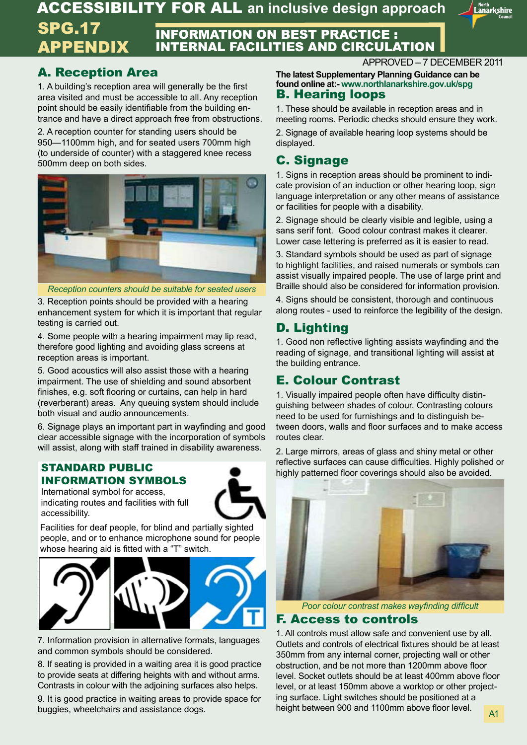ACCESSIBILITY FOR ALL **an inclusive design approach**



#### INFORMATION ON BEST PRACTICE : INTERNAL FACILITIES AND CIRCULATION SPG.17 APPENDIX

## A. Reception Area

1. A building's reception area will generally be the first area visited and must be accessible to all. Any reception point should be easily identifiable from the building entrance and have a direct approach free from obstructions.

2. A reception counter for standing users should be 950—1100mm high, and for seated users 700mm high (to underside of counter) with a staggered knee recess 500mm deep on both sides.



*Reception counters should be suitable for seated users*

3. Reception points should be provided with a hearing enhancement system for which it is important that regular testing is carried out.

4. Some people with a hearing impairment may lip read, therefore good lighting and avoiding glass screens at reception areas is important.

5. Good acoustics will also assist those with a hearing impairment. The use of shielding and sound absorbent finishes, e.g. soft flooring or curtains, can help in hard (reverberant) areas. Any queuing system should include both visual and audio announcements.

6. Signage plays an important part in wayfinding and good clear accessible signage with the incorporation of symbols will assist, along with staff trained in disability awareness.

#### STANDARD PUBLIC INFORMATION SYMBOLS

International symbol for access, indicating routes and facilities with full accessibility.



Facilities for deaf people, for blind and partially sighted people, and or to enhance microphone sound for people whose hearing aid is fitted with a "T" switch.





7. Information provision in alternative formats, languages and common symbols should be considered.

8. If seating is provided in a waiting area it is good practice to provide seats at differing heights with and without arms. Contrasts in colour with the adjoining surfaces also helps.

9. It is good practice in waiting areas to provide space for buggies, wheelchairs and assistance dogs.

APPROVED – 7 DECEMBER 2011

B. Hearing loops **The latest Supplementary Planning Guidance can be found online at:- www.northlanarkshire.gov.uk/spg**

1. These should be available in reception areas and in meeting rooms. Periodic checks should ensure they work.

2. Signage of available hearing loop systems should be displayed.

## C. Signage

1. Signs in reception areas should be prominent to indicate provision of an induction or other hearing loop, sign language interpretation or any other means of assistance or facilities for people with a disability.

2. Signage should be clearly visible and legible, using a sans serif font. Good colour contrast makes it clearer. Lower case lettering is preferred as it is easier to read.

3. Standard symbols should be used as part of signage to highlight facilities, and raised numerals or symbols can assist visually impaired people. The use of large print and Braille should also be considered for information provision.

4. Signs should be consistent, thorough and continuous along routes - used to reinforce the legibility of the design.

## D. Lighting

1. Good non reflective lighting assists wayfinding and the reading of signage, and transitional lighting will assist at the building entrance.

## E. Colour Contrast

1. Visually impaired people often have difficulty distinguishing between shades of colour. Contrasting colours need to be used for furnishings and to distinguish between doors, walls and floor surfaces and to make access routes clear.

2. Large mirrors, areas of glass and shiny metal or other reflective surfaces can cause difficulties. Highly polished or highly patterned floor coverings should also be avoided.



*Poor colour contrast makes wayfinding difficult*

## F. Access to controls

1. All controls must allow safe and convenient use by all. Outlets and controls of electrical fixtures should be at least 350mm from any internal corner, projecting wall or other obstruction, and be not more than 1200mm above floor level. Socket outlets should be at least 400mm above floor level, or at least 150mm above a worktop or other projecting surface. Light switches should be positioned at a height between 900 and 1100mm above floor level.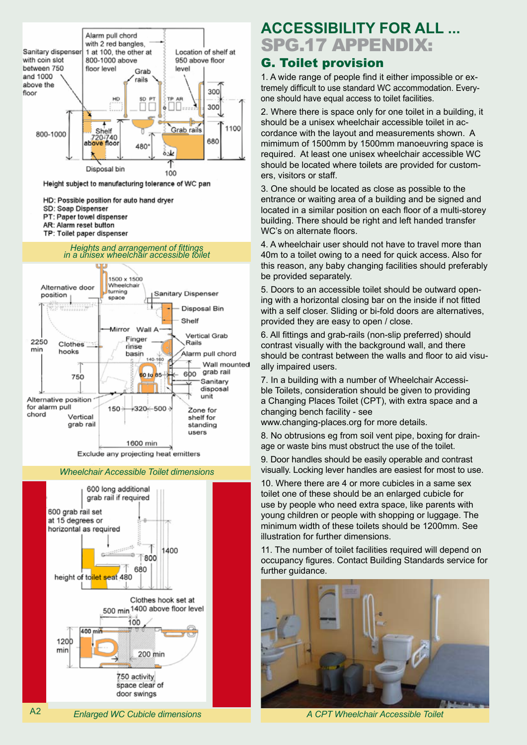

*Wheelchair Accessible Toilet dimensions* 

1600 min Exclude any projecting heat emitters



## SPG.17 APPENDIX: **ACCESSIBILITY FOR ALL ...**

## G. Toilet provision

1. A wide range of people find it either impossible or extremely difficult to use standard WC accommodation. Everyone should have equal access to toilet facilities.

2. Where there is space only for one toilet in a building, it should be a unisex wheelchair accessible toilet in accordance with the layout and measurements shown. A mimimum of 1500mm by 1500mm manoeuvring space is required. At least one unisex wheelchair accessible WC should be located where toilets are provided for customers, visitors or staff.

3. One should be located as close as possible to the entrance or waiting area of a building and be signed and located in a similar position on each floor of a multi-storey building. There should be right and left handed transfer WC's on alternate floors.

4. A wheelchair user should not have to travel more than 40m to a toilet owing to a need for quick access. Also for this reason, any baby changing facilities should preferably be provided separately.

5. Doors to an accessible toilet should be outward opening with a horizontal closing bar on the inside if not fitted with a self closer. Sliding or bi-fold doors are alternatives, provided they are easy to open / close.

6. All fittings and grab-rails (non-slip preferred) should contrast visually with the background wall, and there should be contrast between the walls and floor to aid visually impaired users.

7. In a building with a number of Wheelchair Accessible Toilets, consideration should be given to providing a Changing Places Toilet (CPT), with extra space and a changing bench facility - see

www.changing-places.org for more details.

8. No obtrusions eg from soil vent pipe, boxing for drainage or waste bins must obstruct the use of the toilet.

9. Door handles should be easily operable and contrast visually. Locking lever handles are easiest for most to use.

10. Where there are 4 or more cubicles in a same sex toilet one of these should be an enlarged cubicle for use by people who need extra space, like parents with young children or people with shopping or luggage. The minimum width of these toilets should be 1200mm. See illustration for further dimensions.

11. The number of toilet facilities required will depend on occupancy figures. Contact Building Standards service for further quidance.



*A CPT Wheelchair Accessible Toilet*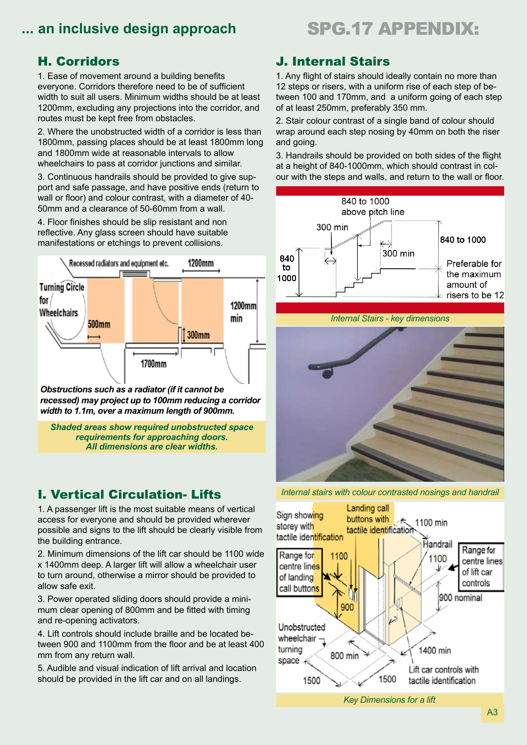## **ACCESSIBILITY ACCESSIBILITY FOR ALL 2018 THE SPG.17 APPENDIX:**

## H. Corridors

1. Ease of movement around a building benefits everyone. Corridors therefore need to be of sufficient width to suit all users. Minimum widths should be at least 1200mm, excluding any projections into the corridor, and routes must be kept free from obstacles.

2. Where the unobstructed width of a corridor is less than 1800mm, passing places should be at least 1800mm long and 1800mm wide at reasonable intervals to allow wheelchairs to pass at corridor junctions and similar.

3. Continuous handrails should be provided to give support and safe passage, and have positive ends (return to wall or floor) and colour contrast, with a diameter of 40- 50mm and a clearance of 50-60mm from a wall.

4. Floor finishes should be slip resistant and non reflective. Any glass screen should have suitable manifestations or etchings to prevent collisions.



*Obstructions such as a radiator (if it cannot be recessed) may project up to 100mm reducing a corridor width to 1.1m, over a maximum length of 900mm.*

*Shaded areas show required unobstructed space requirements for approaching doors. All dimensions are clear widths.* 

## I. Vertical Circulation- Lifts

1. A passenger lift is the most suitable means of vertical access for everyone and should be provided wherever possible and signs to the lift should be clearly visible from the building entrance.

2. Minimum dimensions of the lift car should be 1100 wide x 1400mm deep. A larger lift will allow a wheelchair user to turn around, otherwise a mirror should be provided to allow safe exit.

3. Power operated sliding doors should provide a minimum clear opening of 800mm and be fitted with timing and re-opening activators.

4. Lift controls should include braille and be located between 900 and 1100mm from the floor and be at least 400 mm from any return wall.

5. Audible and visual indication of lift arrival and location should be provided in the lift car and on all landings.

## J. Internal Stairs

1. Any flight of stairs should ideally contain no more than 12 steps or risers, with a uniform rise of each step of between 100 and 170mm, and a uniform going of each step of at least 250mm, preferably 350 mm.

2. Stair colour contrast of a single band of colour should wrap around each step nosing by 40mm on both the riser and going.

3. Handrails should be provided on both sides of the flight at a height of 840-1000mm, which should contrast in colour with the steps and walls, and return to the wall or floor.







*Internal stairs with colour contrasted nosings and handrail*